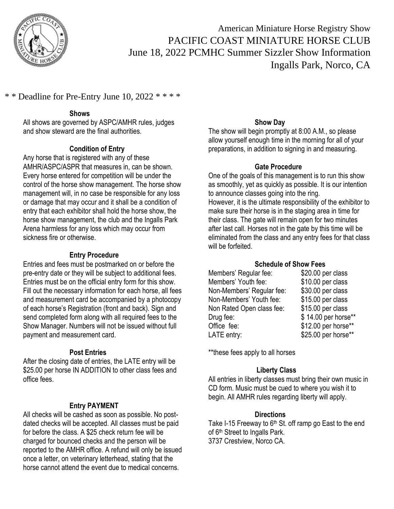

American Miniature Horse Registry Show PACIFIC COAST MINIATURE HORSE CLUB June 18, 2022 PCMHC Summer Sizzler Show Information Ingalls Park, Norco, CA

## \* \* Deadline for Pre-Entry June 10, 2022 \* \* \* \*

#### **Shows**

All shows are governed by ASPC/AMHR rules, judges and show steward are the final authorities.

#### **Condition of Entry**

Any horse that is registered with any of these AMHR/ASPC/ASPR that measures in, can be shown. Every horse entered for competition will be under the control of the horse show management. The horse show management will, in no case be responsible for any loss or damage that may occur and it shall be a condition of entry that each exhibitor shall hold the horse show, the horse show management, the club and the Ingalls Park Arena harmless for any loss which may occur from sickness fire or otherwise.

#### **Entry Procedure**

Entries and fees must be postmarked on or before the pre-entry date or they will be subject to additional fees. Entries must be on the official entry form for this show. Fill out the necessary information for each horse, all fees and measurement card be accompanied by a photocopy of each horse's Registration (front and back). Sign and send completed form along with all required fees to the Show Manager. Numbers will not be issued without full payment and measurement card.

#### **Post Entries**

After the closing date of entries, the LATE entry will be \$25.00 per horse IN ADDITION to other class fees and office fees.

#### **Entry PAYMENT**

All checks will be cashed as soon as possible. No postdated checks will be accepted. All classes must be paid for before the class. A \$25 check return fee will be charged for bounced checks and the person will be reported to the AMHR office. A refund will only be issued once a letter, on veterinary letterhead, stating that the horse cannot attend the event due to medical concerns.

#### **Show Day**

The show will begin promptly at 8:00 A.M., so please allow yourself enough time in the morning for all of your preparations, in addition to signing in and measuring.

#### **Gate Procedure**

One of the goals of this management is to run this show as smoothly, yet as quickly as possible. It is our intention to announce classes going into the ring. However, it is the ultimate responsibility of the exhibitor to make sure their horse is in the staging area in time for their class. The gate will remain open for two minutes after last call. Horses not in the gate by this time will be eliminated from the class and any entry fees for that class will be forfeited.

#### **Schedule of Show Fees**

| Members' Regular fee:     | \$20.00 per class   |
|---------------------------|---------------------|
| Members' Youth fee:       | \$10.00 per class   |
| Non-Members' Regular fee: | \$30.00 per class   |
| Non-Members' Youth fee:   | \$15.00 per class   |
| Non Rated Open class fee: | \$15.00 per class   |
| Drug fee:                 | \$14.00 per horse** |
| Office fee:               | \$12.00 per horse** |
| LATE entry:               | \$25.00 per horse** |

\*\*these fees apply to all horses

#### **Liberty Class**

All entries in liberty classes must bring their own music in CD form. Music must be cued to where you wish it to begin. All AMHR rules regarding liberty will apply.

#### **Directions**

Take I-15 Freeway to  $6<sup>th</sup>$  St. off ramp go East to the end of 6<sup>th</sup> Street to Ingalls Park. 3737 Crestview, Norco CA.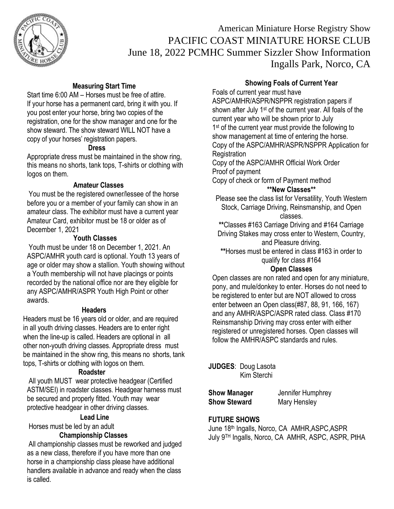

## American Miniature Horse Registry Show PACIFIC COAST MINIATURE HORSE CLUB June 18, 2022 PCMHC Summer Sizzler Show Information Ingalls Park, Norco, CA

### **Measuring Start Time**

Start time 6:00 AM – Horses must be free of attire. If your horse has a permanent card, bring it with you. If you post enter your horse, bring two copies of the registration, one for the show manager and one for the show steward. The show steward WILL NOT have a copy of your horses' registration papers.

### **Dress**

Appropriate dress must be maintained in the show ring, this means no shorts, tank tops, T-shirts or clothing with logos on them.

## **Amateur Classes**

You must be the registered owner/lessee of the horse before you or a member of your family can show in an amateur class. The exhibitor must have a current year Amateur Card, exhibitor must be 18 or older as of December 1, 2021

## **Youth Classes**

Youth must be under 18 on December 1, 2021. An ASPC/AMHR youth card is optional. Youth 13 years of age or older may show a stallion. Youth showing without a Youth membership will not have placings or points recorded by the national office nor are they eligible for any ASPC/AMHR/ASPR Youth High Point or other awards.

### **Headers**

Headers must be 16 years old or older, and are required in all youth driving classes. Headers are to enter right when the line-up is called. Headers are optional in all other non-youth driving classes. Appropriate dress must be maintained in the show ring, this means no shorts, tank tops, T-shirts or clothing with logos on them.

### **Roadster**

All youth MUST wear protective headgear (Certified ASTM/SEI) in roadster classes. Headgear harness must be secured and properly fitted. Youth may wear protective headgear in other driving classes.

#### **Lead Line**

Horses must be led by an adult

## **Championship Classes**

All championship classes must be reworked and judged as a new class, therefore if you have more than one horse in a championship class please have additional handlers available in advance and ready when the class is called.

#### **Showing Foals of Current Year**

Foals of current year must have

ASPC/AMHR/ASPR/NSPPR registration papers if shown after July 1<sup>st</sup> of the current year. All foals of the current year who will be shown prior to July 1<sup>st</sup> of the current year must provide the following to show management at time of entering the horse. Copy of the ASPC/AMHR/ASPR/NSPPR Application for **Registration** 

Copy of the ASPC/AMHR Official Work Order Proof of payment

Copy of check or form of Payment method **\*\*New Classes\*\***

Please see the class list for Versatility, Youth Western Stock, Carriage Driving, Reinsmanship, and Open classes.

**\*\***Classes #163 Carriage Driving and #164 Carriage Driving Stakes may cross enter to Western, Country,

and Pleasure driving. **\*\***Horses must be entered in class #163 in order to

qualify for class #164

### **Open Classes**

Open classes are non rated and open for any miniature, pony, and mule/donkey to enter. Horses do not need to be registered to enter but are NOT allowed to cross enter between an Open class(#87, 88, 91, 166, 167) and any AMHR/ASPC/ASPR rated class. Class #170 Reinsmanship Driving may cross enter with either registered or unregistered horses. Open classes will follow the AMHR/ASPC standards and rules.

**JUDGES**: Doug Lasota Kim Sterchi

**Show Steward Mary Hensley** 

**Show Manager** Jennifer Humphrey

## **FUTURE SHOWS**

June 18th Ingalls, Norco, CA AMHR,ASPC,ASPR July 9TH Ingalls, Norco, CA AMHR, ASPC, ASPR, PtHA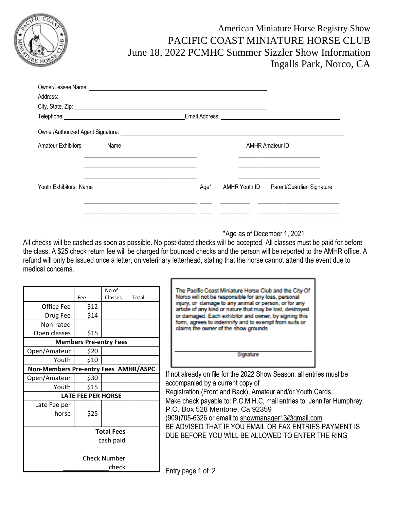

American Miniature Horse Registry Show PACIFIC COAST MINIATURE HORSE CLUB June 18, 2022 PCMHC Summer Sizzler Show Information Ingalls Park, Norco, CA

|                        |      | Owner/Lessee Name: <u>2008 Name: 2008 Name: 2008 Name: 2008 Name: 2008 Name: 2008 Name: 2008 Name: 2008 Name: 2008 N</u> |  |                                                                                                                                                                |
|------------------------|------|--------------------------------------------------------------------------------------------------------------------------|--|----------------------------------------------------------------------------------------------------------------------------------------------------------------|
|                        |      |                                                                                                                          |  |                                                                                                                                                                |
|                        |      | City, State, Zip: 2004. City, State, Zip: 2004. City, State, Zip: 2004. City, State, Zip: 2004. City                     |  |                                                                                                                                                                |
|                        |      |                                                                                                                          |  | Email Address: No. 1996                                                                                                                                        |
|                        |      |                                                                                                                          |  |                                                                                                                                                                |
| Amateur Exhibitors:    | Name |                                                                                                                          |  | <b>AMHR Amateur ID</b>                                                                                                                                         |
|                        |      |                                                                                                                          |  | the control of the control of the control of the control of the control of the control of<br><u> 2000 - Jan James James Barnett, amerikan bahasa (j. 1878)</u> |
| Youth Exhibitors: Name |      | Age*                                                                                                                     |  | AMHR Youth ID Parent/Guardian Signature                                                                                                                        |
|                        |      |                                                                                                                          |  | <u> 1980 - Jan James James (f. 1980)</u>                                                                                                                       |
|                        |      |                                                                                                                          |  |                                                                                                                                                                |

\*Age as of December 1, 2021

All checks will be cashed as soon as possible. No post-dated checks will be accepted. All classes must be paid for before the class. A \$25 check return fee will be charged for bounced checks and the person will be reported to the AMHR office. A refund will only be issued once a letter, on veterinary letterhead, stating that the horse cannot attend the event due to medical concerns.

|                                      | Fee                           | No of<br>Classes | Total | The Pacific Coast Miniature Horse Club and the City Of<br>Norco will not be responsible for any loss, personal                                                                                                         |  |
|--------------------------------------|-------------------------------|------------------|-------|------------------------------------------------------------------------------------------------------------------------------------------------------------------------------------------------------------------------|--|
| Office Fee                           | \$12                          |                  |       | injury, or damage to any animal or person, or for any<br>article of any kind or nature that may be lost, destroyed                                                                                                     |  |
| Drug Fee                             | \$14                          |                  |       | or damaged. Each exhibitor and owner, by signing this                                                                                                                                                                  |  |
| Non-rated                            |                               |                  |       | form, agrees to indemnify and to exempt from suits or<br>claims the owner of the show grounds                                                                                                                          |  |
| Open classes                         | \$15                          |                  |       |                                                                                                                                                                                                                        |  |
|                                      | <b>Members Pre-entry Fees</b> |                  |       |                                                                                                                                                                                                                        |  |
| Open/Amateur                         | \$20                          |                  |       | Signature                                                                                                                                                                                                              |  |
| Youth                                | \$10                          |                  |       |                                                                                                                                                                                                                        |  |
| Non-Members Pre-entry Fees AMHR/ASPC |                               |                  |       |                                                                                                                                                                                                                        |  |
| Open/Amateur                         | \$30                          |                  |       | If not already on file for the 2022 Show Season, all entries must be                                                                                                                                                   |  |
| Youth                                | \$15                          |                  |       | accompanied by a current copy of                                                                                                                                                                                       |  |
|                                      | <b>LATE FEE PER HORSE</b>     |                  |       | Registration (Front and Back), Amateur and/or Youth Cards.                                                                                                                                                             |  |
| Late Fee per<br>horse                | \$25                          |                  |       | Make check payable to: P.C.M.H.C, mail entries to: Jennifer Humphrey,<br>P.O. Box 528 Mentone, Ca 92359<br>(909)705-6326 or email to showmanager13@gmail.com<br>BE ADVISED THAT IF YOU EMAIL OR FAX ENTRIES PAYMENT IS |  |
| <b>Total Fees</b>                    |                               |                  |       | DUE BEFORE YOU WILL BE ALLOWED TO ENTER THE RING                                                                                                                                                                       |  |
| cash paid                            |                               |                  |       |                                                                                                                                                                                                                        |  |
|                                      |                               |                  |       |                                                                                                                                                                                                                        |  |
| <b>Check Number</b>                  |                               |                  |       |                                                                                                                                                                                                                        |  |
|                                      |                               | check            |       | Entry page 1 of 2                                                                                                                                                                                                      |  |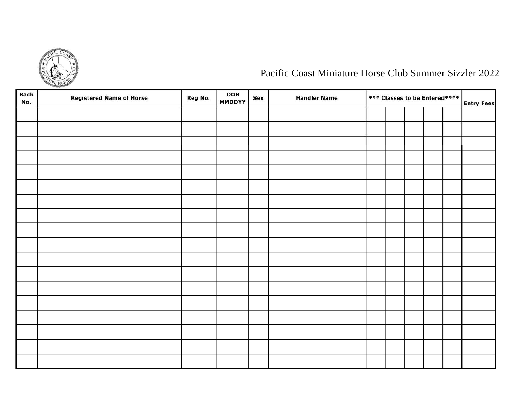

# Pacific Coast Miniature Horse Club Summer Sizzler 2022

| <b>Back</b><br>No. | <b>Registered Name of Horse</b> | Reg No. | <b>DOB</b><br><b>MMDDYY</b> | Sex | <b>Handler Name</b> | *** Classes to be Entered**** |  |  | <b>Entry Fees</b> |  |
|--------------------|---------------------------------|---------|-----------------------------|-----|---------------------|-------------------------------|--|--|-------------------|--|
|                    |                                 |         |                             |     |                     |                               |  |  |                   |  |
|                    |                                 |         |                             |     |                     |                               |  |  |                   |  |
|                    |                                 |         |                             |     |                     |                               |  |  |                   |  |
|                    |                                 |         |                             |     |                     |                               |  |  |                   |  |
|                    |                                 |         |                             |     |                     |                               |  |  |                   |  |
|                    |                                 |         |                             |     |                     |                               |  |  |                   |  |
|                    |                                 |         |                             |     |                     |                               |  |  |                   |  |
|                    |                                 |         |                             |     |                     |                               |  |  |                   |  |
|                    |                                 |         |                             |     |                     |                               |  |  |                   |  |
|                    |                                 |         |                             |     |                     |                               |  |  |                   |  |
|                    |                                 |         |                             |     |                     |                               |  |  |                   |  |
|                    |                                 |         |                             |     |                     |                               |  |  |                   |  |
|                    |                                 |         |                             |     |                     |                               |  |  |                   |  |
|                    |                                 |         |                             |     |                     |                               |  |  |                   |  |
|                    |                                 |         |                             |     |                     |                               |  |  |                   |  |
|                    |                                 |         |                             |     |                     |                               |  |  |                   |  |
|                    |                                 |         |                             |     |                     |                               |  |  |                   |  |
|                    |                                 |         |                             |     |                     |                               |  |  |                   |  |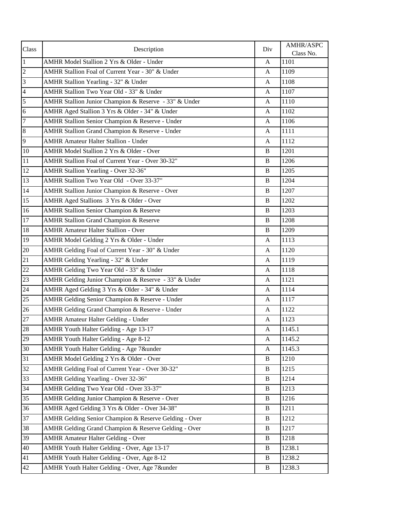| Class           | Description                                           | Div                       | AMHR/ASPC<br>Class No. |
|-----------------|-------------------------------------------------------|---------------------------|------------------------|
| $\overline{1}$  | AMHR Model Stallion 2 Yrs & Older - Under             | A                         | 1101                   |
| $\overline{c}$  | AMHR Stallion Foal of Current Year - 30" & Under      | A                         | 1109                   |
| 3               | AMHR Stallion Yearling - 32" & Under                  | A                         | 1108                   |
| $\overline{4}$  | AMHR Stallion Two Year Old - 33" & Under              | A                         | 1107                   |
| $\overline{5}$  | AMHR Stallion Junior Champion & Reserve - 33" & Under | A                         | 1110                   |
| $\sqrt{6}$      | AMHR Aged Stallion 3 Yrs & Older - 34" & Under        | A                         | 1102                   |
| $\overline{7}$  | AMHR Stallion Senior Champion & Reserve - Under       | A                         | 1106                   |
| $\bf 8$         | AMHR Stallion Grand Champion & Reserve - Under        | $\mathbf{A}$              | 1111                   |
| 9               | <b>AMHR Amateur Halter Stallion - Under</b>           | A                         | 1112                   |
| 10              | AMHR Model Stallion 2 Yrs & Older - Over              | B                         | 1201                   |
| $11\,$          | AMHR Stallion Foal of Current Year - Over 30-32"      | B                         | 1206                   |
| 12              | <b>AMHR Stallion Yearling - Over 32-36"</b>           | B                         | 1205                   |
| 13              | AMHR Stallion Two Year Old - Over 33-37"              | B                         | 1204                   |
| 14              | AMHR Stallion Junior Champion & Reserve - Over        | B                         | 1207                   |
| 15              | AMHR Aged Stallions 3 Yrs & Older - Over              | $\, {\bf B}$              | 1202                   |
| $\overline{16}$ | AMHR Stallion Senior Champion & Reserve               | $\, {\bf B}$              | 1203                   |
| 17              | <b>AMHR Stallion Grand Champion &amp; Reserve</b>     | $\, {\bf B}$              | 1208                   |
| 18              | <b>AMHR Amateur Halter Stallion - Over</b>            | B                         | 1209                   |
| $\overline{19}$ | AMHR Model Gelding 2 Yrs & Older - Under              | $\mathbf{A}$              | $\overline{1}$ 113     |
| 20              | AMHR Gelding Foal of Current Year - 30" & Under       | A                         | 1120                   |
| 21              | AMHR Gelding Yearling - 32" & Under                   | A                         | 1119                   |
| 22              | AMHR Gelding Two Year Old - 33" & Under               | A                         | 1118                   |
| 23              | AMHR Gelding Junior Champion & Reserve - 33" & Under  | A                         | <sup>1</sup> 121       |
| 24              | AMHR Aged Gelding 3 Yrs & Older - 34" & Under         | $\mathbf{A}$              | 1114                   |
| 25              | AMHR Gelding Senior Champion & Reserve - Under        | A                         | 1117                   |
| 26              | AMHR Gelding Grand Champion & Reserve - Under         | A                         | 1122                   |
| 27              | <b>AMHR Amateur Halter Gelding - Under</b>            | $\mathbf{A}$              | 1123                   |
| 28              | AMHR Youth Halter Gelding - Age 13-17                 | $\boldsymbol{\mathsf{A}}$ | 1145.1                 |
| 29              | AMHR Youth Halter Gelding - Age 8-12                  | A                         | 1145.2                 |
| 30              | AMHR Youth Halter Gelding - Age 7&under               | A                         | 1145.3                 |
| 31              | AMHR Model Gelding 2 Yrs & Older - Over               | B                         | 1210                   |
| 32              | AMHR Gelding Foal of Current Year - Over 30-32"       | $\, {\bf B}$              | 1215                   |
| 33              | AMHR Gelding Yearling - Over 32-36"                   | B                         | 1214                   |
| 34              | AMHR Gelding Two Year Old - Over 33-37"               | B                         | 1213                   |
| 35              | AMHR Gelding Junior Champion & Reserve - Over         | B                         | 1216                   |
| 36              | AMHR Aged Gelding 3 Yrs & Older - Over 34-38"         | B                         | 1211                   |
| 37              | AMHR Gelding Senior Champion & Reserve Gelding - Over | B                         | 1212                   |
| 38              | AMHR Gelding Grand Champion & Reserve Gelding - Over  | B                         | 1217                   |
| 39              | <b>AMHR Amateur Halter Gelding - Over</b>             | B                         | 1218                   |
| 40              | AMHR Youth Halter Gelding - Over, Age 13-17           | $\bf{B}$                  | 1238.1                 |
| 41              | AMHR Youth Halter Gelding - Over, Age 8-12            | B                         | 1238.2                 |
| 42              | AMHR Youth Halter Gelding - Over, Age 7&under         | $\bf{B}$                  | 1238.3                 |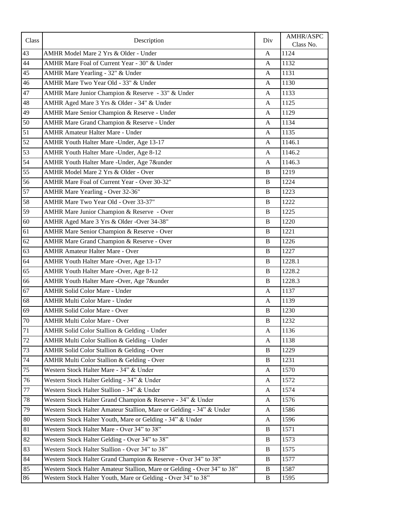| Class  | Description                                                              | Div          | AMHR/ASPC<br>Class No. |
|--------|--------------------------------------------------------------------------|--------------|------------------------|
| 43     | AMHR Model Mare 2 Yrs & Older - Under                                    | A            | 1124                   |
| 44     | AMHR Mare Foal of Current Year - 30" & Under                             | $\mathbf{A}$ | 1132                   |
| 45     | AMHR Mare Yearling - 32" & Under                                         | A            | 1131                   |
| 46     | AMHR Mare Two Year Old - 33" & Under                                     | A            | 1130                   |
| 47     | AMHR Mare Junior Champion & Reserve - 33" & Under                        | A            | 1133                   |
| 48     | AMHR Aged Mare 3 Yrs & Older - 34" & Under                               | A            | 1125                   |
| 49     | AMHR Mare Senior Champion & Reserve - Under                              | $\mathbf{A}$ | 1129                   |
| 50     | AMHR Mare Grand Champion & Reserve - Under                               | $\mathbf{A}$ | 1134                   |
| 51     | <b>AMHR Amateur Halter Mare - Under</b>                                  | A            | 1135                   |
| 52     | AMHR Youth Halter Mare -Under, Age 13-17                                 | $\mathbf{A}$ | 1146.1                 |
| 53     | AMHR Youth Halter Mare - Under, Age 8-12                                 | A            | 1146.2                 |
| 54     | AMHR Youth Halter Mare -Under, Age 7&under                               | A            | 1146.3                 |
| 55     | AMHR Model Mare 2 Yrs & Older - Over                                     | $\, {\bf B}$ | 1219                   |
| 56     | AMHR Mare Foal of Current Year - Over 30-32"                             | $\, {\bf B}$ | 1224                   |
| 57     | AMHR Mare Yearling - Over 32-36"                                         | $\, {\bf B}$ | 1223                   |
| 58     | AMHR Mare Two Year Old - Over 33-37"                                     | $\, {\bf B}$ | 1222                   |
| 59     | AMHR Mare Junior Champion & Reserve - Over                               | $\, {\bf B}$ | 1225                   |
| $60\,$ | AMHR Aged Mare 3 Yrs & Older -Over 34-38"                                | $\, {\bf B}$ | 1220                   |
| 61     | AMHR Mare Senior Champion & Reserve - Over                               | $\, {\bf B}$ | 1221                   |
| 62     | AMHR Mare Grand Champion & Reserve - Over                                | $\, {\bf B}$ | 1226                   |
| 63     | <b>AMHR Amateur Halter Mare - Over</b>                                   | B            | 1227                   |
| 64     | AMHR Youth Halter Mare -Over, Age 13-17                                  | $\, {\bf B}$ | 1228.1                 |
| 65     | AMHR Youth Halter Mare -Over, Age 8-12                                   | $\, {\bf B}$ | 1228.2                 |
| 66     | AMHR Youth Halter Mare -Over, Age 7&under                                | B            | 1228.3                 |
| 67     | <b>AMHR Solid Color Mare - Under</b>                                     | $\mathbf{A}$ | 1137                   |
| 68     | AMHR Multi Color Mare - Under                                            | $\mathbf{A}$ | 1139                   |
| 69     | <b>AMHR Solid Color Mare - Over</b>                                      | $\, {\bf B}$ | 1230                   |
| 70     | AMHR Multi Color Mare - Over                                             | $\, {\bf B}$ | 1232                   |
| 71     | AMHR Solid Color Stallion & Gelding - Under                              | A            | 1136                   |
| $72\,$ | AMHR Multi Color Stallion & Gelding - Under                              | A            | 1138                   |
| 73     | AMHR Solid Color Stallion & Gelding - Over                               | $\bf{B}$     | 1229                   |
| 74     | AMHR Multi Color Stallion & Gelding - Over                               | $\, {\bf B}$ | 1231                   |
| 75     | Western Stock Halter Mare - 34" & Under                                  | A            | 1570                   |
| 76     | Western Stock Halter Gelding - 34" & Under                               | A            | 1572                   |
| $77\,$ | Western Stock Halter Stallion - 34" & Under                              | A            | 1574                   |
| $78\,$ | Western Stock Halter Grand Champion & Reserve - 34" & Under              | A            | 1576                   |
| 79     | Western Stock Halter Amateur Stallion, Mare or Gelding - 34" & Under     | A            | 1586                   |
| 80     | Western Stock Halter Youth, Mare or Gelding - 34" & Under                | A            | 1596                   |
| $81\,$ | Western Stock Halter Mare - Over 34" to 38"                              | $\, {\bf B}$ | 1571                   |
| 82     | Western Stock Halter Gelding - Over 34" to 38"                           | $\, {\bf B}$ | 1573                   |
| 83     | Western Stock Halter Stallion - Over 34" to 38"                          | $\, {\bf B}$ | 1575                   |
| 84     | Western Stock Halter Grand Champion & Reserve - Over 34" to 38"          | B            | 1577                   |
| 85     | Western Stock Halter Amateur Stallion, Mare or Gelding - Over 34" to 38" | B            | 1587                   |
| 86     | Western Stock Halter Youth, Mare or Gelding - Over 34" to 38"            | B            | 1595                   |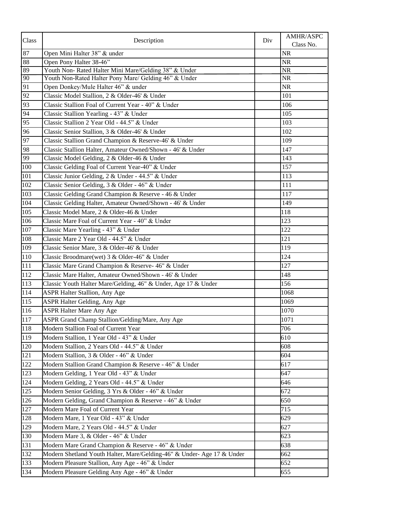| Class | Description                                                            | Div | AMHR/ASPC<br>Class No. |
|-------|------------------------------------------------------------------------|-----|------------------------|
| 87    | Open Mini Halter 38" & under                                           |     | <b>NR</b>              |
| 88    | Open Pony Halter 38-46"                                                |     | $\rm NR$               |
| 89    | Youth Non- Rated Halter Mini Mare/Gelding 38" & Under                  |     | $\overline{\text{NR}}$ |
| 90    | Youth Non-Rated Halter Pony Mare/ Gelding 46" & Under                  |     | $\rm NR$               |
| 91    | Open Donkey/Mule Halter 46" & under                                    |     | NR                     |
| 92    | Classic Model Stallion, 2 & Older-46' & Under                          |     | 101                    |
| 93    | Classic Stallion Foal of Current Year - 40" & Under                    |     | 106                    |
| 94    | Classic Stallion Yearling - 43" & Under                                |     | 105                    |
| 95    | Classic Stallion 2 Year Old - 44.5" & Under                            |     | 103                    |
| 96    | Classic Senior Stallion, 3 & Older-46' & Under                         |     | 102                    |
| 97    | Classic Stallion Grand Champion & Reserve-46' & Under                  |     | 109                    |
| 98    | Classic Stallion Halter, Amateur Owned/Shown - 46' & Under             |     | 147                    |
| 99    | Classic Model Gelding, 2 & Older-46 & Under                            |     | 143                    |
| 100   | Classic Gelding Foal of Current Year-40" & Under                       |     | 157                    |
| 101   | Classic Junior Gelding, 2 & Under - 44.5" & Under                      |     | 113                    |
| 102   | Classic Senior Gelding, 3 & Older - 46" & Under                        |     | 111                    |
| 103   | Classic Gelding Grand Champion & Reserve - 46 & Under                  |     | 117                    |
| 104   | Classic Gelding Halter, Amateur Owned/Shown - 46' & Under              |     | 149                    |
| 105   | Classic Model Mare, 2 & Older-46 & Under                               |     | 118                    |
| 106   | Classic Mare Foal of Current Year - 40" & Under                        |     | 123                    |
| 107   | Classic Mare Yearling - 43" & Under                                    |     | 122                    |
| 108   | Classic Mare 2 Year Old - 44.5" & Under                                |     | 121                    |
| 109   | Classic Senior Mare, 3 & Older-46' & Under                             |     | 119                    |
| 110   | Classic Broodmare(wet) 3 & Older-46" & Under                           |     | 124                    |
| 111   | Classic Mare Grand Champion & Reserve- 46" & Under                     |     | 127                    |
| 112   | Classic Mare Halter, Amateur Owned/Shown - 46' & Under                 |     | 148                    |
| 113   | Classic Youth Halter Mare/Gelding, 46" & Under, Age 17 & Under         |     | 156                    |
| 114   | ASPR Halter Stallion, Any Age                                          |     | 1068                   |
| 115   | ASPR Halter Gelding, Any Age                                           |     | 1069                   |
| 116   | <b>ASPR Halter Mare Any Age</b>                                        |     | 1070                   |
| 117   | ASPR Grand Champ Stallion/Gelding/Mare, Any Age                        |     | 1071                   |
| 118   | Modern Stallion Foal of Current Year                                   |     | 706                    |
| 119   | Modern Stallion, 1 Year Old - 43" & Under                              |     | 610                    |
| 120   | Modern Stallion, 2 Years Old - 44.5" & Under                           |     | 608                    |
| 121   | Modern Stallion, 3 & Older - 46" & Under                               |     | 604                    |
| 122   | Modern Stallion Grand Champion & Reserve - 46" & Under                 |     | 617                    |
| 123   | Modern Gelding, 1 Year Old - 43" & Under                               |     | 647                    |
| 124   | Modern Gelding, 2 Years Old - 44.5" & Under                            |     | 646                    |
| 125   | Modern Senior Gelding, 3 Yrs & Older - 46" & Under                     |     | 672                    |
| 126   | Modern Gelding, Grand Champion & Reserve - 46" & Under                 |     | 650                    |
| 127   | Modern Mare Foal of Current Year                                       |     | 715                    |
| 128   | Modern Mare, 1 Year Old - 43" & Under                                  |     | 629                    |
| 129   | Modern Mare, 2 Years Old - 44.5" & Under                               |     | 627                    |
| 130   | Modern Mare 3, & Older - 46" & Under                                   |     | 623                    |
| 131   | Modern Mare Grand Champion & Reserve - 46" & Under                     |     | 638                    |
| 132   | Modern Shetland Youth Halter, Mare/Gelding-46" & Under- Age 17 & Under |     | 662                    |
| 133   | Modern Pleasure Stallion, Any Age - 46" & Under                        |     | 652                    |
| 134   | Modern Pleasure Gelding Any Age - 46" & Under                          |     | 655                    |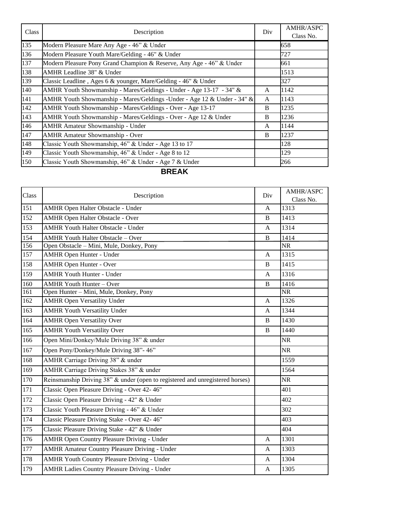| Class | Description                                                              | Div          | <b>AMHR/ASPC</b><br>Class No. |
|-------|--------------------------------------------------------------------------|--------------|-------------------------------|
| 135   | Modern Pleasure Mare Any Age - 46" & Under                               |              | 658                           |
| 136   | Modern Pleasure Youth Mare/Gelding - 46" & Under                         |              | 727                           |
| 137   | Modern Pleasure Pony Grand Champion & Reserve, Any Age - 46" & Under     |              | 661                           |
| 138   | AMHR Leadline 38" & Under                                                |              | 1513                          |
| 139   | Classic Leadline, Ages 6 & younger, Mare/Gelding - 46" & Under           |              | 327                           |
| 140   | AMHR Youth Showmanship - Mares/Geldings - Under - Age 13-17 - 34" &      | $\mathsf{A}$ | 1142                          |
| 141   | AMHR Youth Showmanship - Mares/Geldings - Under - Age 12 & Under - 34" & | A            | 1143                          |
| 142   | AMHR Youth Showmanship - Mares/Geldings - Over - Age 13-17               | B            | 1235                          |
| 143   | AMHR Youth Showmanship - Mares/Geldings - Over - Age 12 & Under          | B            | 1236                          |
| 146   | <b>AMHR Amateur Showmanship - Under</b>                                  | A            | 1144                          |
| 147   | <b>AMHR Amateur Showmanship - Over</b>                                   | B            | 1237                          |
| 148   | Classic Youth Showmanship, 46" & Under - Age 13 to 17                    |              | 128                           |
| 149   | Classic Youth Showmanship, 46" & Under - Age 8 to 12                     |              | 129                           |
| 150   | Classic Youth Showmanship, 46" & Under - Age 7 & Under                   |              | 266                           |

## **BREAK**

| Class            | Description                                                                   | Div          | AMHR/ASPC<br>Class No. |
|------------------|-------------------------------------------------------------------------------|--------------|------------------------|
| 151              | <b>AMHR Open Halter Obstacle - Under</b>                                      | A            | 1313                   |
| 152              | <b>AMHR Open Halter Obstacle - Over</b>                                       | $\, {\bf B}$ | 1413                   |
| 153              | <b>AMHR Youth Halter Obstacle - Under</b>                                     | A            | 1314                   |
| 154              | <b>AMHR Youth Halter Obstacle - Over</b>                                      | $\, {\bf B}$ | 1414                   |
| 156              | Open Obstacle - Mini, Mule, Donkey, Pony                                      |              | <b>NR</b>              |
| 157              | <b>AMHR Open Hunter - Under</b>                                               | A            | 1315                   |
| 158              | <b>AMHR Open Hunter - Over</b>                                                | $\, {\bf B}$ | 1415                   |
| 159              | <b>AMHR Youth Hunter - Under</b>                                              | A            | 1316                   |
| 160              | <b>AMHR Youth Hunter - Over</b>                                               | $\, {\bf B}$ | 1416                   |
| 161              | Open Hunter - Mini, Mule, Donkey, Pony                                        |              | <b>NR</b>              |
| 162              | <b>AMHR Open Versatility Under</b>                                            | A            | 1326                   |
| 163              | <b>AMHR Youth Versatility Under</b>                                           | A            | 1344                   |
| 164              | <b>AMHR Open Versatility Over</b>                                             | $\, {\bf B}$ | 1430                   |
| 165              | <b>AMHR Youth Versatility Over</b>                                            | $\, {\bf B}$ | 1440                   |
| 166              | Open Mini/Donkey/Mule Driving 38" & under                                     |              | <b>NR</b>              |
| 167              | Open Pony/Donkey/Mule Driving 38"-46"                                         |              | <b>NR</b>              |
| 168              | AMHR Carriage Driving 38" & under                                             |              | 1559                   |
| 169              | AMHR Carriage Driving Stakes 38" & under                                      |              | 1564                   |
| 170              | Reinsmanship Driving 38" & under (open to registered and unregistered horses) |              | <b>NR</b>              |
| 171              | Classic Open Pleasure Driving - Over 42-46"                                   |              | 401                    |
| 172              | Classic Open Pleasure Driving - 42" & Under                                   |              | 402                    |
| 173              | Classic Youth Pleasure Driving - 46" & Under                                  |              | 302                    |
| 174              | Classic Pleasure Driving Stake - Over 42-46"                                  |              | 403                    |
| $\overline{175}$ | Classic Pleasure Driving Stake - 42" & Under                                  |              | 404                    |
| 176              | <b>AMHR Open Country Pleasure Driving - Under</b>                             | A            | 1301                   |
| 177              | <b>AMHR Amateur Country Pleasure Driving - Under</b>                          | A            | 1303                   |
| 178              | <b>AMHR Youth Country Pleasure Driving - Under</b>                            | A            | 1304                   |
| 179              | <b>AMHR Ladies Country Pleasure Driving - Under</b>                           | $\mathbf{A}$ | 1305                   |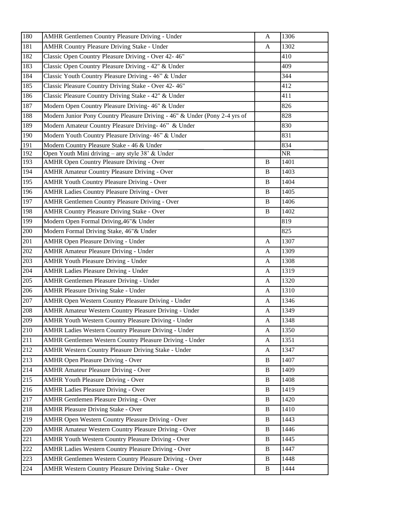| 180 | <b>AMHR Gentlemen Country Pleasure Driving - Under</b>                     | A            | 1306                   |
|-----|----------------------------------------------------------------------------|--------------|------------------------|
| 181 | <b>AMHR Country Pleasure Driving Stake - Under</b>                         | A            | 1302                   |
| 182 | Classic Open Country Pleasure Driving - Over 42-46"                        |              | 410                    |
| 183 | Classic Open Country Pleasure Driving - 42" & Under                        |              | 409                    |
| 184 | Classic Youth Country Pleasure Driving - 46" & Under                       |              | 344                    |
| 185 | Classic Pleasure Country Driving Stake - Over 42-46"                       |              | 412                    |
| 186 | Classic Pleasure Country Driving Stake - 42" & Under                       |              | 411                    |
| 187 | Modern Open Country Pleasure Driving- 46" & Under                          |              | 826                    |
| 188 | Modern Junior Pony Country Pleasure Driving - 46" & Under (Pony 2-4 yrs of |              | 828                    |
| 189 | Modern Amateur Country Pleasure Driving-46" & Under                        |              | 830                    |
| 190 | Modern Youth Country Pleasure Driving- 46" & Under                         |              | 831                    |
| 191 | Modern Country Pleasure Stake - 46 & Under                                 |              | 834                    |
| 192 | Open Youth Mini driving - any style 38' & Under                            |              | $\overline{\text{NR}}$ |
| 193 | <b>AMHR Open Country Pleasure Driving - Over</b>                           | B            | 1401                   |
| 194 | <b>AMHR Amateur Country Pleasure Driving - Over</b>                        | B            | 1403                   |
| 195 | <b>AMHR Youth Country Pleasure Driving - Over</b>                          | $\, {\bf B}$ | 1404                   |
| 196 | <b>AMHR Ladies Country Pleasure Driving - Over</b>                         | $\, {\bf B}$ | 1405                   |
| 197 | <b>AMHR Gentlemen Country Pleasure Driving - Over</b>                      | $\bf{B}$     | 1406                   |
| 198 | <b>AMHR Country Pleasure Driving Stake - Over</b>                          | $\, {\bf B}$ | 1402                   |
| 199 | Modern Open Formal Driving, 46" & Under                                    |              | 819                    |
| 200 | Modern Formal Driving Stake, 46"& Under                                    |              | 825                    |
| 201 | <b>AMHR Open Pleasure Driving - Under</b>                                  | A            | 1307                   |
| 202 | <b>AMHR Amateur Pleasure Driving - Under</b>                               | $\mathbf{A}$ | 1309                   |
| 203 | <b>AMHR Youth Pleasure Driving - Under</b>                                 | A            | 1308                   |
| 204 | <b>AMHR Ladies Pleasure Driving - Under</b>                                | $\mathbf{A}$ | 1319                   |
| 205 | <b>AMHR Gentlemen Pleasure Driving - Under</b>                             | $\mathbf{A}$ | 1320                   |
| 206 | <b>AMHR Pleasure Driving Stake - Under</b>                                 | $\mathbf{A}$ | 1310                   |
| 207 | AMHR Open Western Country Pleasure Driving - Under                         | A            | 1346                   |
| 208 | <b>AMHR Amateur Western Country Pleasure Driving - Under</b>               | A            | 1349                   |
| 209 | AMHR Youth Western Country Pleasure Driving - Under                        | $\mathbf{A}$ | 1348                   |
| 210 | AMHR Ladies Western Country Pleasure Driving - Under                       | A            | 1350                   |
| 211 | AMHR Gentlemen Western Country Pleasure Driving - Under                    | A            | 1351                   |
| 212 | <b>AMHR Western Country Pleasure Driving Stake - Under</b>                 | A            | 1347                   |
| 213 | <b>AMHR Open Pleasure Driving - Over</b>                                   | B            | 1407                   |
| 214 | <b>AMHR Amateur Pleasure Driving - Over</b>                                | $\, {\bf B}$ | 1409                   |
| 215 | <b>AMHR Youth Pleasure Driving - Over</b>                                  | B            | 1408                   |
| 216 | <b>AMHR Ladies Pleasure Driving - Over</b>                                 | $\, {\bf B}$ | 1419                   |
| 217 | <b>AMHR Gentlemen Pleasure Driving - Over</b>                              | $\, {\bf B}$ | 1420                   |
| 218 | <b>AMHR Pleasure Driving Stake - Over</b>                                  | $\, {\bf B}$ | 1410                   |
| 219 | AMHR Open Western Country Pleasure Driving - Over                          | B            | 1443                   |
| 220 | <b>AMHR Amateur Western Country Pleasure Driving - Over</b>                | B            | 1446                   |
| 221 | <b>AMHR Youth Western Country Pleasure Driving - Over</b>                  | $\mathbf B$  | 1445                   |
| 222 | AMHR Ladies Western Country Pleasure Driving - Over                        | B            | 1447                   |
| 223 | AMHR Gentlemen Western Country Pleasure Driving - Over                     | $\, {\bf B}$ | 1448                   |
| 224 | AMHR Western Country Pleasure Driving Stake - Over                         | $\bf{B}$     | 1444                   |